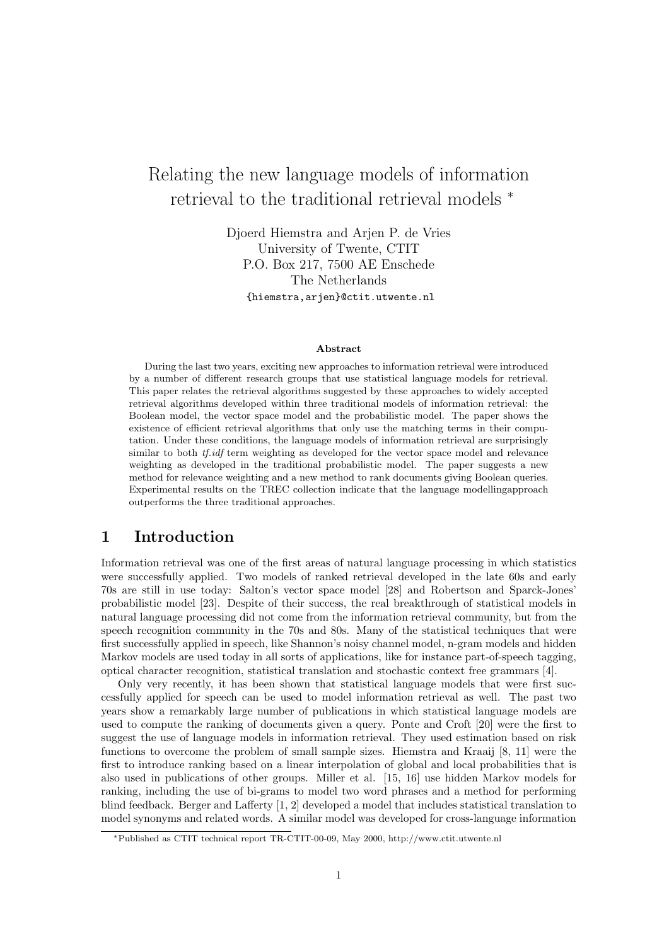# Relating the new language models of information retrieval to the traditional retrieval models <sup>∗</sup>

Djoerd Hiemstra and Arjen P. de Vries University of Twente, CTIT P.O. Box 217, 7500 AE Enschede The Netherlands {hiemstra,arjen}@ctit.utwente.nl

#### Abstract

During the last two years, exciting new approaches to information retrieval were introduced by a number of different research groups that use statistical language models for retrieval. This paper relates the retrieval algorithms suggested by these approaches to widely accepted retrieval algorithms developed within three traditional models of information retrieval: the Boolean model, the vector space model and the probabilistic model. The paper shows the existence of efficient retrieval algorithms that only use the matching terms in their computation. Under these conditions, the language models of information retrieval are surprisingly similar to both  $tf.idf$  term weighting as developed for the vector space model and relevance weighting as developed in the traditional probabilistic model. The paper suggests a new method for relevance weighting and a new method to rank documents giving Boolean queries. Experimental results on the TREC collection indicate that the language modellingapproach outperforms the three traditional approaches.

# 1 Introduction

Information retrieval was one of the first areas of natural language processing in which statistics were successfully applied. Two models of ranked retrieval developed in the late 60s and early 70s are still in use today: Salton's vector space model [28] and Robertson and Sparck-Jones' probabilistic model [23]. Despite of their success, the real breakthrough of statistical models in natural language processing did not come from the information retrieval community, but from the speech recognition community in the 70s and 80s. Many of the statistical techniques that were first successfully applied in speech, like Shannon's noisy channel model, n-gram models and hidden Markov models are used today in all sorts of applications, like for instance part-of-speech tagging, optical character recognition, statistical translation and stochastic context free grammars [4].

Only very recently, it has been shown that statistical language models that were first successfully applied for speech can be used to model information retrieval as well. The past two years show a remarkably large number of publications in which statistical language models are used to compute the ranking of documents given a query. Ponte and Croft [20] were the first to suggest the use of language models in information retrieval. They used estimation based on risk functions to overcome the problem of small sample sizes. Hiemstra and Kraaij [8, 11] were the first to introduce ranking based on a linear interpolation of global and local probabilities that is also used in publications of other groups. Miller et al. [15, 16] use hidden Markov models for ranking, including the use of bi-grams to model two word phrases and a method for performing blind feedback. Berger and Lafferty [1, 2] developed a model that includes statistical translation to model synonyms and related words. A similar model was developed for cross-language information

<sup>∗</sup>Published as CTIT technical report TR-CTIT-00-09, May 2000, http://www.ctit.utwente.nl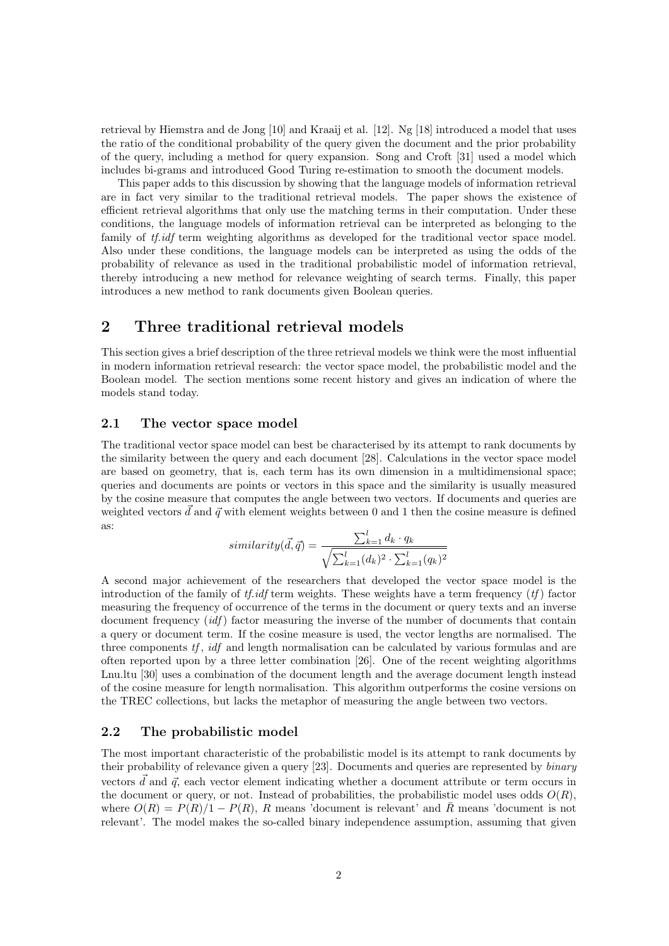retrieval by Hiemstra and de Jong [10] and Kraaij et al. [12]. Ng [18] introduced a model that uses the ratio of the conditional probability of the query given the document and the prior probability of the query, including a method for query expansion. Song and Croft [31] used a model which includes bi-grams and introduced Good Turing re-estimation to smooth the document models.

This paper adds to this discussion by showing that the language models of information retrieval are in fact very similar to the traditional retrieval models. The paper shows the existence of efficient retrieval algorithms that only use the matching terms in their computation. Under these conditions, the language models of information retrieval can be interpreted as belonging to the family of *tf.idf* term weighting algorithms as developed for the traditional vector space model. Also under these conditions, the language models can be interpreted as using the odds of the probability of relevance as used in the traditional probabilistic model of information retrieval, thereby introducing a new method for relevance weighting of search terms. Finally, this paper introduces a new method to rank documents given Boolean queries.

# 2 Three traditional retrieval models

This section gives a brief description of the three retrieval models we think were the most influential in modern information retrieval research: the vector space model, the probabilistic model and the Boolean model. The section mentions some recent history and gives an indication of where the models stand today.

#### 2.1 The vector space model

The traditional vector space model can best be characterised by its attempt to rank documents by the similarity between the query and each document [28]. Calculations in the vector space model are based on geometry, that is, each term has its own dimension in a multidimensional space; queries and documents are points or vectors in this space and the similarity is usually measured by the cosine measure that computes the angle between two vectors. If documents and queries are weighted vectors  $\vec{d}$  and  $\vec{q}$  with element weights between 0 and 1 then the cosine measure is defined as:

$$
similarity(\vec{d}, \vec{q}) = \frac{\sum_{k=1}^{l} d_k \cdot q_k}{\sqrt{\sum_{k=1}^{l} (d_k)^2 \cdot \sum_{k=1}^{l} (q_k)^2}}
$$

A second major achievement of the researchers that developed the vector space model is the introduction of the family of  $tf.id$  term weights. These weights have a term frequency  $(tf)$  factor measuring the frequency of occurrence of the terms in the document or query texts and an inverse document frequency  $(idf)$  factor measuring the inverse of the number of documents that contain a query or document term. If the cosine measure is used, the vector lengths are normalised. The three components  $tf$ ,  $idf$  and length normalisation can be calculated by various formulas and are often reported upon by a three letter combination [26]. One of the recent weighting algorithms Lnu.ltu [30] uses a combination of the document length and the average document length instead of the cosine measure for length normalisation. This algorithm outperforms the cosine versions on the TREC collections, but lacks the metaphor of measuring the angle between two vectors.

#### 2.2 The probabilistic model

The most important characteristic of the probabilistic model is its attempt to rank documents by their probability of relevance given a query [23]. Documents and queries are represented by binary vectors  $\vec{d}$  and  $\vec{q}$ , each vector element indicating whether a document attribute or term occurs in the document or query, or not. Instead of probabilities, the probabilistic model uses odds  $O(R)$ , where  $O(R) = P(R)/1 - P(R)$ , R means 'document is relevant' and  $\overline{R}$  means 'document is not relevant'. The model makes the so-called binary independence assumption, assuming that given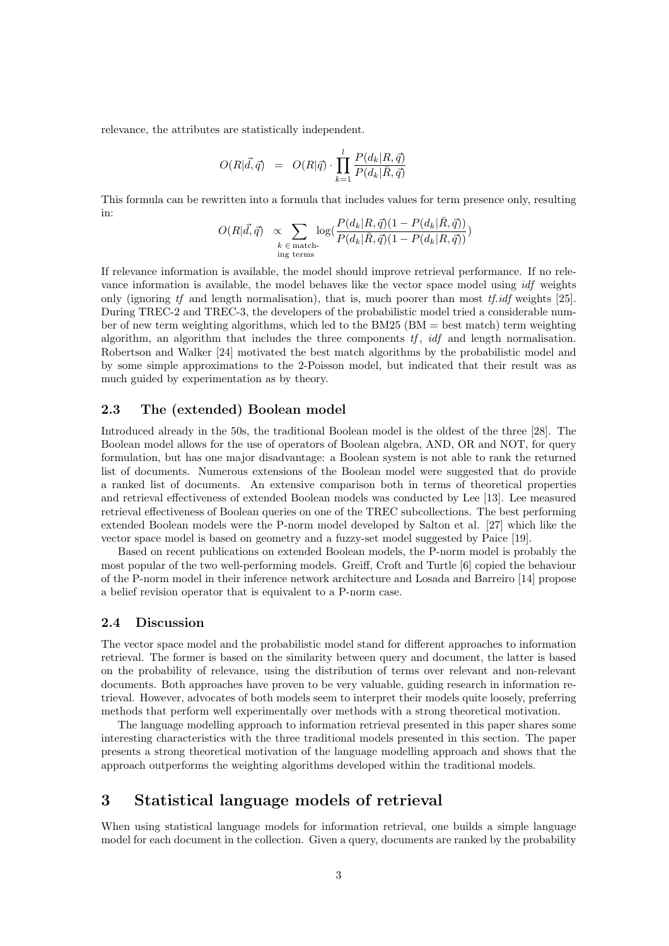relevance, the attributes are statistically independent.

$$
O(R|\vec{d},\vec{q}) = O(R|\vec{q}) \cdot \prod_{k=1}^{l} \frac{P(d_k|R,\vec{q})}{P(d_k|\bar{R},\vec{q})}
$$

This formula can be rewritten into a formula that includes values for term presence only, resulting in:

$$
O(R|\vec{d},\vec{q}) \propto \sum_{\substack{k \in \text{match} \text{is } k \text{ terms}}} \log(\frac{P(d_k|R,\vec{q})(1-P(d_k|\bar{R},\vec{q}))}{P(d_k|\bar{R},\vec{q})(1-P(d_k|R,\vec{q}))})
$$

If relevance information is available, the model should improve retrieval performance. If no relevance information is available, the model behaves like the vector space model using idf weights only (ignoring tf and length normalisation), that is, much poorer than most  $tf.idf$  weights [25]. During TREC-2 and TREC-3, the developers of the probabilistic model tried a considerable number of new term weighting algorithms, which led to the BM25 (BM = best match) term weighting algorithm, an algorithm that includes the three components  $tf$ ,  $idf$  and length normalisation. Robertson and Walker [24] motivated the best match algorithms by the probabilistic model and by some simple approximations to the 2-Poisson model, but indicated that their result was as much guided by experimentation as by theory.

#### 2.3 The (extended) Boolean model

Introduced already in the 50s, the traditional Boolean model is the oldest of the three [28]. The Boolean model allows for the use of operators of Boolean algebra, AND, OR and NOT, for query formulation, but has one major disadvantage: a Boolean system is not able to rank the returned list of documents. Numerous extensions of the Boolean model were suggested that do provide a ranked list of documents. An extensive comparison both in terms of theoretical properties and retrieval effectiveness of extended Boolean models was conducted by Lee [13]. Lee measured retrieval effectiveness of Boolean queries on one of the TREC subcollections. The best performing extended Boolean models were the P-norm model developed by Salton et al. [27] which like the vector space model is based on geometry and a fuzzy-set model suggested by Paice [19].

Based on recent publications on extended Boolean models, the P-norm model is probably the most popular of the two well-performing models. Greiff, Croft and Turtle [6] copied the behaviour of the P-norm model in their inference network architecture and Losada and Barreiro [14] propose a belief revision operator that is equivalent to a P-norm case.

#### 2.4 Discussion

The vector space model and the probabilistic model stand for different approaches to information retrieval. The former is based on the similarity between query and document, the latter is based on the probability of relevance, using the distribution of terms over relevant and non-relevant documents. Both approaches have proven to be very valuable, guiding research in information retrieval. However, advocates of both models seem to interpret their models quite loosely, preferring methods that perform well experimentally over methods with a strong theoretical motivation.

The language modelling approach to information retrieval presented in this paper shares some interesting characteristics with the three traditional models presented in this section. The paper presents a strong theoretical motivation of the language modelling approach and shows that the approach outperforms the weighting algorithms developed within the traditional models.

# 3 Statistical language models of retrieval

When using statistical language models for information retrieval, one builds a simple language model for each document in the collection. Given a query, documents are ranked by the probability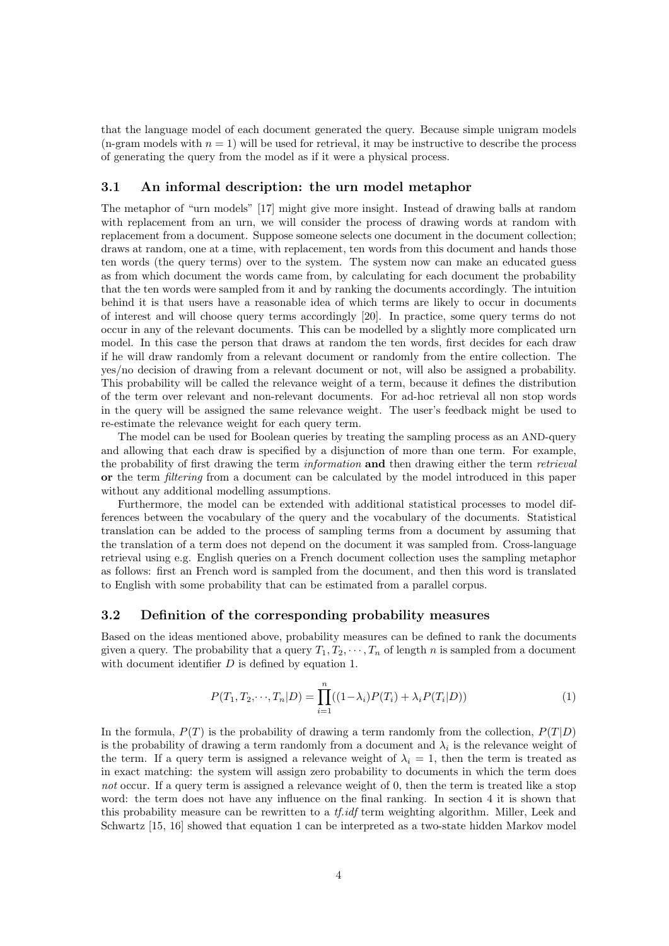that the language model of each document generated the query. Because simple unigram models (n-gram models with  $n = 1$ ) will be used for retrieval, it may be instructive to describe the process of generating the query from the model as if it were a physical process.

#### 3.1 An informal description: the urn model metaphor

The metaphor of "urn models" [17] might give more insight. Instead of drawing balls at random with replacement from an urn, we will consider the process of drawing words at random with replacement from a document. Suppose someone selects one document in the document collection; draws at random, one at a time, with replacement, ten words from this document and hands those ten words (the query terms) over to the system. The system now can make an educated guess as from which document the words came from, by calculating for each document the probability that the ten words were sampled from it and by ranking the documents accordingly. The intuition behind it is that users have a reasonable idea of which terms are likely to occur in documents of interest and will choose query terms accordingly [20]. In practice, some query terms do not occur in any of the relevant documents. This can be modelled by a slightly more complicated urn model. In this case the person that draws at random the ten words, first decides for each draw if he will draw randomly from a relevant document or randomly from the entire collection. The yes/no decision of drawing from a relevant document or not, will also be assigned a probability. This probability will be called the relevance weight of a term, because it defines the distribution of the term over relevant and non-relevant documents. For ad-hoc retrieval all non stop words in the query will be assigned the same relevance weight. The user's feedback might be used to re-estimate the relevance weight for each query term.

The model can be used for Boolean queries by treating the sampling process as an AND-query and allowing that each draw is specified by a disjunction of more than one term. For example, the probability of first drawing the term information and then drawing either the term retrieval or the term filtering from a document can be calculated by the model introduced in this paper without any additional modelling assumptions.

Furthermore, the model can be extended with additional statistical processes to model differences between the vocabulary of the query and the vocabulary of the documents. Statistical translation can be added to the process of sampling terms from a document by assuming that the translation of a term does not depend on the document it was sampled from. Cross-language retrieval using e.g. English queries on a French document collection uses the sampling metaphor as follows: first an French word is sampled from the document, and then this word is translated to English with some probability that can be estimated from a parallel corpus.

#### 3.2 Definition of the corresponding probability measures

Based on the ideas mentioned above, probability measures can be defined to rank the documents given a query. The probability that a query  $T_1, T_2, \cdots, T_n$  of length n is sampled from a document with document identifier  $D$  is defined by equation 1.

$$
P(T_1, T_2, \cdots, T_n | D) = \prod_{i=1}^n ((1 - \lambda_i) P(T_i) + \lambda_i P(T_i | D))
$$
\n(1)

In the formula,  $P(T)$  is the probability of drawing a term randomly from the collection,  $P(T|D)$ is the probability of drawing a term randomly from a document and  $\lambda_i$  is the relevance weight of the term. If a query term is assigned a relevance weight of  $\lambda_i = 1$ , then the term is treated as in exact matching: the system will assign zero probability to documents in which the term does not occur. If a query term is assigned a relevance weight of 0, then the term is treated like a stop word: the term does not have any influence on the final ranking. In section 4 it is shown that this probability measure can be rewritten to a *tf.idf* term weighting algorithm. Miller, Leek and Schwartz [15, 16] showed that equation 1 can be interpreted as a two-state hidden Markov model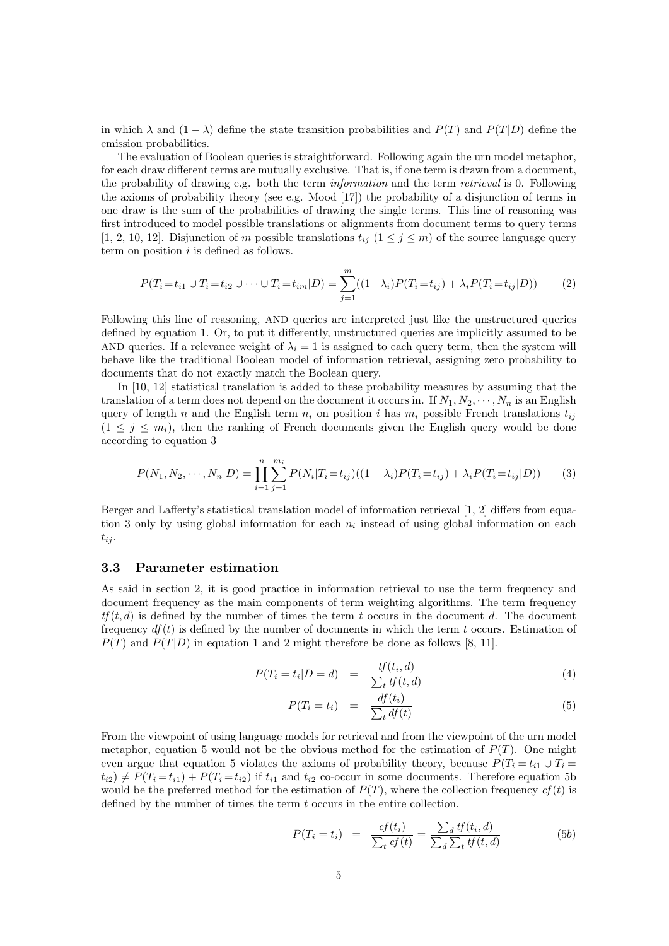in which  $\lambda$  and  $(1 - \lambda)$  define the state transition probabilities and  $P(T)$  and  $P(T|D)$  define the emission probabilities.

The evaluation of Boolean queries is straightforward. Following again the urn model metaphor, for each draw different terms are mutually exclusive. That is, if one term is drawn from a document, the probability of drawing e.g. both the term information and the term retrieval is 0. Following the axioms of probability theory (see e.g. Mood [17]) the probability of a disjunction of terms in one draw is the sum of the probabilities of drawing the single terms. This line of reasoning was first introduced to model possible translations or alignments from document terms to query terms [1, 2, 10, 12]. Disjunction of m possible translations  $t_{ij}$  ( $1 \le j \le m$ ) of the source language query term on position  $i$  is defined as follows.

$$
P(T_i = t_{i1} \cup T_i = t_{i2} \cup \dots \cup T_i = t_{im} | D) = \sum_{j=1}^{m} ((1 - \lambda_i) P(T_i = t_{ij}) + \lambda_i P(T_i = t_{ij} | D))
$$
(2)

Following this line of reasoning, AND queries are interpreted just like the unstructured queries defined by equation 1. Or, to put it differently, unstructured queries are implicitly assumed to be AND queries. If a relevance weight of  $\lambda_i = 1$  is assigned to each query term, then the system will behave like the traditional Boolean model of information retrieval, assigning zero probability to documents that do not exactly match the Boolean query.

In [10, 12] statistical translation is added to these probability measures by assuming that the translation of a term does not depend on the document it occurs in. If  $N_1, N_2, \cdots, N_n$  is an English query of length n and the English term  $n_i$  on position i has  $m_i$  possible French translations  $t_{ij}$  $(1 \leq j \leq m_i)$ , then the ranking of French documents given the English query would be done according to equation 3

$$
P(N_1, N_2, \cdots, N_n | D) = \prod_{i=1}^n \sum_{j=1}^{m_i} P(N_i | T_i = t_{ij}) ((1 - \lambda_i) P(T_i = t_{ij}) + \lambda_i P(T_i = t_{ij} | D))
$$
(3)

Berger and Lafferty's statistical translation model of information retrieval [1, 2] differs from equation 3 only by using global information for each  $n_i$  instead of using global information on each  $t_{ij}$ .

#### 3.3 Parameter estimation

As said in section 2, it is good practice in information retrieval to use the term frequency and document frequency as the main components of term weighting algorithms. The term frequency  $tf(t, d)$  is defined by the number of times the term t occurs in the document d. The document frequency  $df(t)$  is defined by the number of documents in which the term t occurs. Estimation of  $P(T)$  and  $P(T|D)$  in equation 1 and 2 might therefore be done as follows [8, 11].

$$
P(T_i = t_i | D = d) = \frac{tf(t_i, d)}{\sum_t tf(t, d)}
$$
\n
$$
(4)
$$

$$
P(T_i = t_i) = \frac{df(t_i)}{\sum_t df(t)}
$$
\n(5)

From the viewpoint of using language models for retrieval and from the viewpoint of the urn model metaphor, equation 5 would not be the obvious method for the estimation of  $P(T)$ . One might even argue that equation 5 violates the axioms of probability theory, because  $P(T_i = t_{i1} \cup T_i =$  $t_{i2}$   $\neq$   $P(T_i = t_{i1}) + P(T_i = t_{i2})$  if  $t_{i1}$  and  $t_{i2}$  co-occur in some documents. Therefore equation 5b would be the preferred method for the estimation of  $P(T)$ , where the collection frequency  $cf(t)$  is defined by the number of times the term t occurs in the entire collection.

$$
P(T_i = t_i) = \frac{cf(t_i)}{\sum_t cf(t)} = \frac{\sum_d tf(t_i, d)}{\sum_d \sum_t tf(t, d)}
$$
(5b)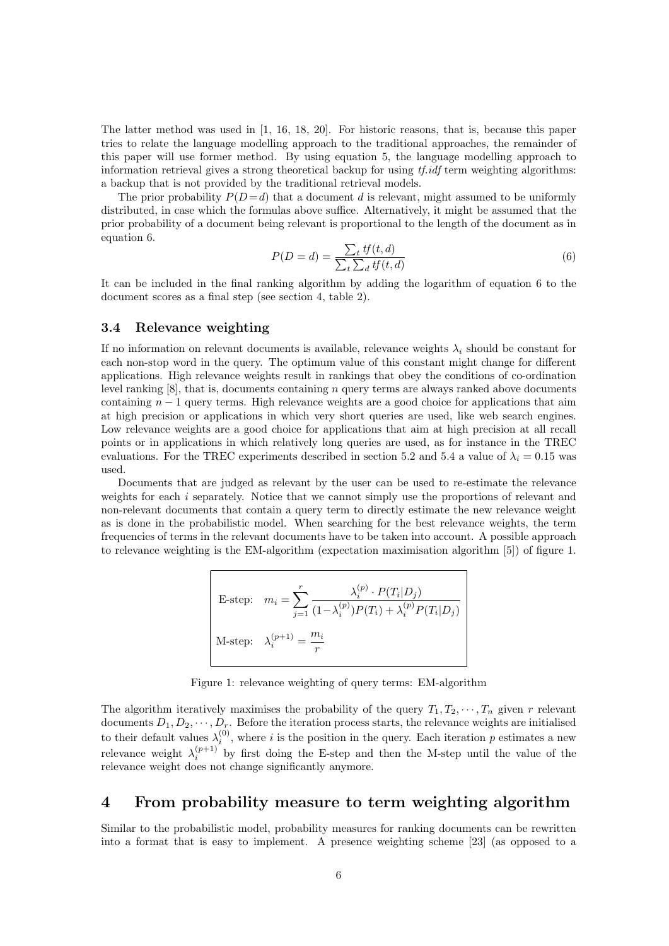The latter method was used in [1, 16, 18, 20]. For historic reasons, that is, because this paper tries to relate the language modelling approach to the traditional approaches, the remainder of this paper will use former method. By using equation 5, the language modelling approach to information retrieval gives a strong theoretical backup for using  $t\hat{t}$  term weighting algorithms: a backup that is not provided by the traditional retrieval models.

The prior probability  $P(D=d)$  that a document d is relevant, might assumed to be uniformly distributed, in case which the formulas above suffice. Alternatively, it might be assumed that the prior probability of a document being relevant is proportional to the length of the document as in equation 6.

$$
P(D = d) = \frac{\sum_{t} tf(t, d)}{\sum_{t} \sum_{d} tf(t, d)}
$$
\n
$$
(6)
$$

It can be included in the final ranking algorithm by adding the logarithm of equation 6 to the document scores as a final step (see section 4, table 2).

#### 3.4 Relevance weighting

If no information on relevant documents is available, relevance weights  $\lambda_i$  should be constant for each non-stop word in the query. The optimum value of this constant might change for different applications. High relevance weights result in rankings that obey the conditions of co-ordination level ranking  $[8]$ , that is, documents containing n query terms are always ranked above documents containing  $n - 1$  query terms. High relevance weights are a good choice for applications that aim at high precision or applications in which very short queries are used, like web search engines. Low relevance weights are a good choice for applications that aim at high precision at all recall points or in applications in which relatively long queries are used, as for instance in the TREC evaluations. For the TREC experiments described in section 5.2 and 5.4 a value of  $\lambda_i = 0.15$  was used.

Documents that are judged as relevant by the user can be used to re-estimate the relevance weights for each i separately. Notice that we cannot simply use the proportions of relevant and non-relevant documents that contain a query term to directly estimate the new relevance weight as is done in the probabilistic model. When searching for the best relevance weights, the term frequencies of terms in the relevant documents have to be taken into account. A possible approach to relevance weighting is the EM-algorithm (expectation maximisation algorithm [5]) of figure 1.

E-step: 
$$
m_i = \sum_{j=1}^r \frac{\lambda_i^{(p)} \cdot P(T_i|D_j)}{(1-\lambda_i^{(p)})P(T_i) + \lambda_i^{(p)}P(T_i|D_j)}
$$
  
M-step:  $\lambda_i^{(p+1)} = \frac{m_i}{r}$ 

Figure 1: relevance weighting of query terms: EM-algorithm

The algorithm iteratively maximises the probability of the query  $T_1, T_2, \cdots, T_n$  given r relevant documents  $D_1, D_2, \dots, D_r$ . Before the iteration process starts, the relevance weights are initialised to their default values  $\lambda_i^{(0)}$ , where i is the position in the query. Each iteration p estimates a new relevance weight  $\lambda_i^{(p+1)}$  by first doing the E-step and then the M-step until the value of the relevance weight does not change significantly anymore.

### 4 From probability measure to term weighting algorithm

Similar to the probabilistic model, probability measures for ranking documents can be rewritten into a format that is easy to implement. A presence weighting scheme [23] (as opposed to a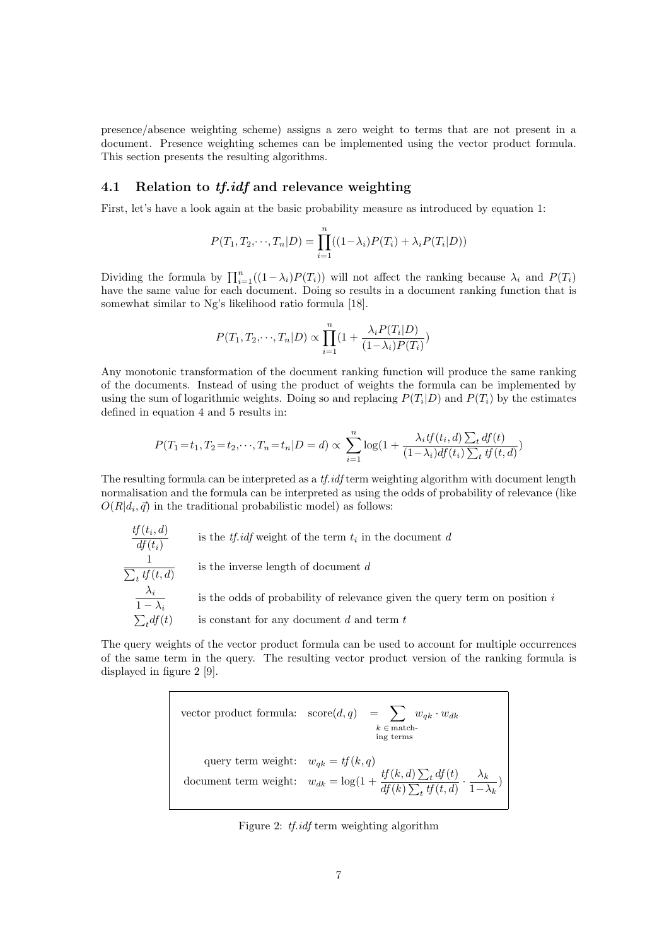presence/absence weighting scheme) assigns a zero weight to terms that are not present in a document. Presence weighting schemes can be implemented using the vector product formula. This section presents the resulting algorithms.

#### 4.1 Relation to tf.idf and relevance weighting

First, let's have a look again at the basic probability measure as introduced by equation 1:

$$
P(T_1, T_2, \cdots, T_n | D) = \prod_{i=1}^n ((1 - \lambda_i) P(T_i) + \lambda_i P(T_i | D))
$$

Dividing the formula by  $\prod_{i=1}^{n}((1-\lambda_i)P(T_i))$  will not affect the ranking because  $\lambda_i$  and  $P(T_i)$ have the same value for each document. Doing so results in a document ranking function that is somewhat similar to Ng's likelihood ratio formula [18].

$$
P(T_1, T_2, \cdots, T_n | D) \propto \prod_{i=1}^n \left(1 + \frac{\lambda_i P(T_i | D)}{(1 - \lambda_i) P(T_i)}\right)
$$

Any monotonic transformation of the document ranking function will produce the same ranking of the documents. Instead of using the product of weights the formula can be implemented by using the sum of logarithmic weights. Doing so and replacing  $P(T_i|D)$  and  $P(T_i)$  by the estimates defined in equation 4 and 5 results in:

$$
P(T_1 = t_1, T_2 = t_2, \cdots, T_n = t_n | D = d) \propto \sum_{i=1}^n \log(1 + \frac{\lambda_i t f(t_i, d) \sum_t df(t)}{(1 - \lambda_i) df(t_i) \sum_t tf(t, d)})
$$

The resulting formula can be interpreted as a  $t\bar{t}$  term weighting algorithm with document length normalisation and the formula can be interpreted as using the odds of probability of relevance (like  $O(R|d_i, \vec{q})$  in the traditional probabilistic model) as follows:

$$
\frac{tf(t_i, d)}{df(t_i)}
$$
 is the *tf*.*idf* weight of the term  $t_i$  in the document  $d$   
\n
$$
\frac{1}{\sum_t tf(t, d)}
$$
 is the inverse length of document  $d$   
\n
$$
\frac{\lambda_i}{1 - \lambda_i}
$$
 is the odds of probability of relevance given the query term on position  $i$   
\n
$$
\sum_t df(t)
$$
 is constant for any document  $d$  and term  $t$ 

The query weights of the vector product formula can be used to account for multiple occurrences of the same term in the query. The resulting vector product version of the ranking formula is displayed in figure 2 [9].

vector product formula: 
$$
\text{score}(d, q) = \sum_{k \in \text{match-}} w_{qk} \cdot w_{dk}
$$
  
query term weight: 
$$
w_{qk} = tf(k, q)
$$
  
document term weight: 
$$
w_{dk} = \log(1 + \frac{tf(k, d) \sum_{t} df(t)}{df(k) \sum_{t} tf(t, d)} \cdot \frac{\lambda_k}{1 - \lambda_k})
$$

Figure 2: tf.idf term weighting algorithm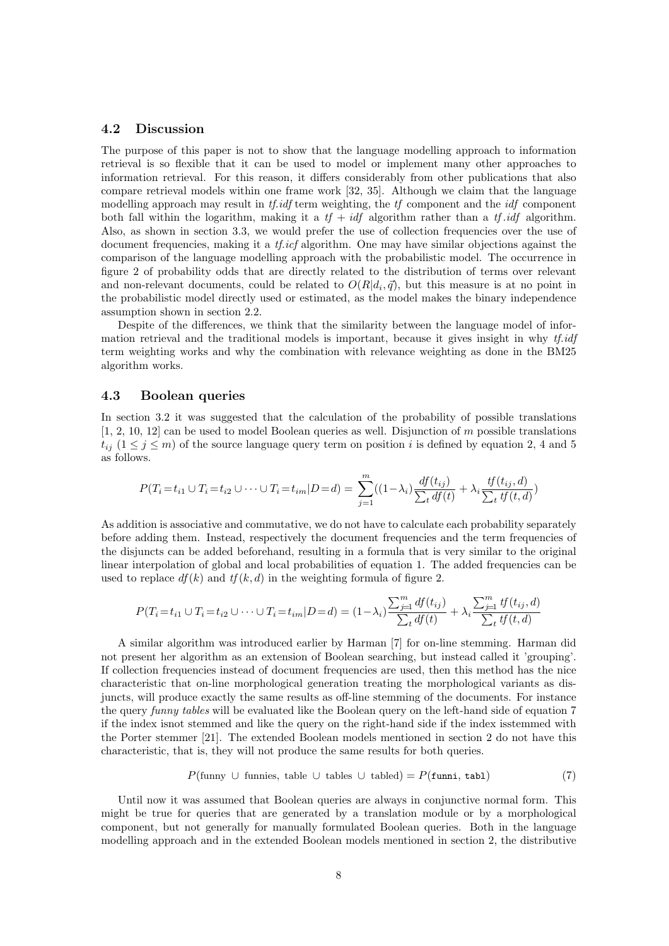#### 4.2 Discussion

The purpose of this paper is not to show that the language modelling approach to information retrieval is so flexible that it can be used to model or implement many other approaches to information retrieval. For this reason, it differs considerably from other publications that also compare retrieval models within one frame work [32, 35]. Although we claim that the language modelling approach may result in  $tf.id f$  term weighting, the  $tf$  component and the  $idf$  component both fall within the logarithm, making it a  $tf + idf$  algorithm rather than a  $tf$ .  $idf$  algorithm. Also, as shown in section 3.3, we would prefer the use of collection frequencies over the use of document frequencies, making it a *tf.icf* algorithm. One may have similar objections against the comparison of the language modelling approach with the probabilistic model. The occurrence in figure 2 of probability odds that are directly related to the distribution of terms over relevant and non-relevant documents, could be related to  $O(R|d_i, \vec{q})$ , but this measure is at no point in the probabilistic model directly used or estimated, as the model makes the binary independence assumption shown in section 2.2.

Despite of the differences, we think that the similarity between the language model of information retrieval and the traditional models is important, because it gives insight in why  $tf.idf$ term weighting works and why the combination with relevance weighting as done in the BM25 algorithm works.

#### 4.3 Boolean queries

In section 3.2 it was suggested that the calculation of the probability of possible translations [1, 2, 10, 12] can be used to model Boolean queries as well. Disjunction of m possible translations  $t_{ij}$  ( $1 \le j \le m$ ) of the source language query term on position i is defined by equation 2, 4 and 5 as follows.

$$
P(T_i = t_{i1} \cup T_i = t_{i2} \cup \dots \cup T_i = t_{im} | D = d) = \sum_{j=1}^{m} ((1 - \lambda_i) \frac{df(t_{ij})}{\sum_t df(t)} + \lambda_i \frac{tf(t_{ij}, d)}{\sum_t tf(t, d)})
$$

As addition is associative and commutative, we do not have to calculate each probability separately before adding them. Instead, respectively the document frequencies and the term frequencies of the disjuncts can be added beforehand, resulting in a formula that is very similar to the original linear interpolation of global and local probabilities of equation 1. The added frequencies can be used to replace  $df(k)$  and  $tf(k, d)$  in the weighting formula of figure 2.

$$
P(T_i = t_{i1} \cup T_i = t_{i2} \cup \dots \cup T_i = t_{im} | D = d) = (1 - \lambda_i) \frac{\sum_{j=1}^{m} df(t_{ij})}{\sum_{t} df(t)} + \lambda_i \frac{\sum_{j=1}^{m} tf(t_{ij}, d)}{\sum_{t} tf(t, d)}
$$

A similar algorithm was introduced earlier by Harman [7] for on-line stemming. Harman did not present her algorithm as an extension of Boolean searching, but instead called it 'grouping'. If collection frequencies instead of document frequencies are used, then this method has the nice characteristic that on-line morphological generation treating the morphological variants as disjuncts, will produce exactly the same results as off-line stemming of the documents. For instance the query funny tables will be evaluated like the Boolean query on the left-hand side of equation 7 if the index isnot stemmed and like the query on the right-hand side if the index isstemmed with the Porter stemmer [21]. The extended Boolean models mentioned in section 2 do not have this characteristic, that is, they will not produce the same results for both queries.

 $P(\text{funny} \cup \text{funnies, table} \cup \text{tables} \cup \text{table}) = P(\text{funni}, \text{tabl})$  (7)

Until now it was assumed that Boolean queries are always in conjunctive normal form. This might be true for queries that are generated by a translation module or by a morphological component, but not generally for manually formulated Boolean queries. Both in the language modelling approach and in the extended Boolean models mentioned in section 2, the distributive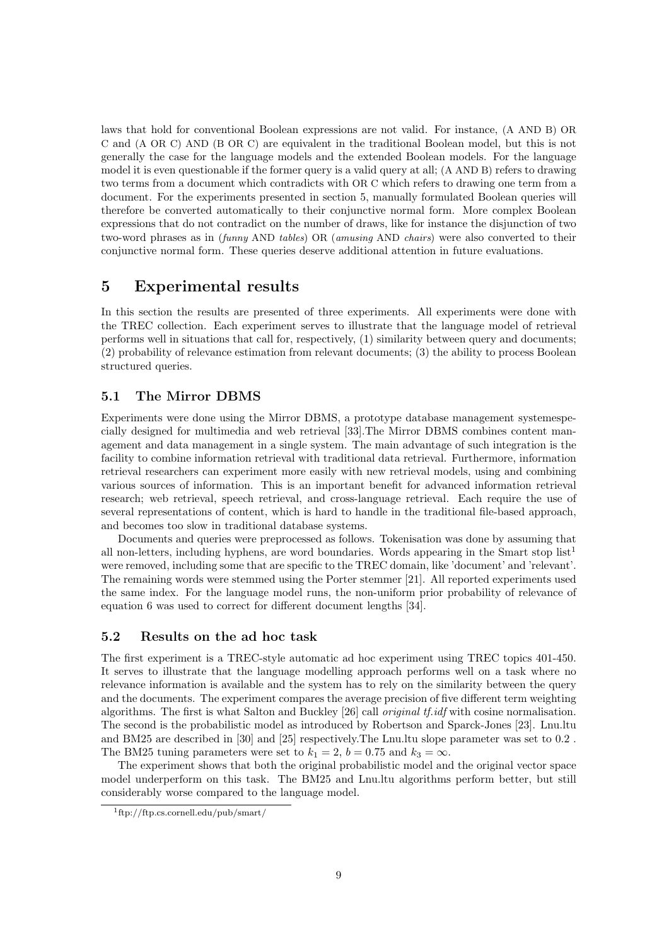laws that hold for conventional Boolean expressions are not valid. For instance, (A AND B) OR C and (A OR C) AND (B OR C) are equivalent in the traditional Boolean model, but this is not generally the case for the language models and the extended Boolean models. For the language model it is even questionable if the former query is a valid query at all; (A AND B) refers to drawing two terms from a document which contradicts with OR C which refers to drawing one term from a document. For the experiments presented in section 5, manually formulated Boolean queries will therefore be converted automatically to their conjunctive normal form. More complex Boolean expressions that do not contradict on the number of draws, like for instance the disjunction of two two-word phrases as in (funny AND tables) OR (amusing AND chairs) were also converted to their conjunctive normal form. These queries deserve additional attention in future evaluations.

# 5 Experimental results

In this section the results are presented of three experiments. All experiments were done with the TREC collection. Each experiment serves to illustrate that the language model of retrieval performs well in situations that call for, respectively, (1) similarity between query and documents; (2) probability of relevance estimation from relevant documents; (3) the ability to process Boolean structured queries.

## 5.1 The Mirror DBMS

Experiments were done using the Mirror DBMS, a prototype database management systemespecially designed for multimedia and web retrieval [33].The Mirror DBMS combines content management and data management in a single system. The main advantage of such integration is the facility to combine information retrieval with traditional data retrieval. Furthermore, information retrieval researchers can experiment more easily with new retrieval models, using and combining various sources of information. This is an important benefit for advanced information retrieval research; web retrieval, speech retrieval, and cross-language retrieval. Each require the use of several representations of content, which is hard to handle in the traditional file-based approach, and becomes too slow in traditional database systems.

Documents and queries were preprocessed as follows. Tokenisation was done by assuming that all non-letters, including hyphens, are word boundaries. Words appearing in the Smart stop  $list^1$ were removed, including some that are specific to the TREC domain, like 'document' and 'relevant'. The remaining words were stemmed using the Porter stemmer [21]. All reported experiments used the same index. For the language model runs, the non-uniform prior probability of relevance of equation 6 was used to correct for different document lengths [34].

#### 5.2 Results on the ad hoc task

The first experiment is a TREC-style automatic ad hoc experiment using TREC topics 401-450. It serves to illustrate that the language modelling approach performs well on a task where no relevance information is available and the system has to rely on the similarity between the query and the documents. The experiment compares the average precision of five different term weighting algorithms. The first is what Salton and Buckley [26] call original tf.idf with cosine normalisation. The second is the probabilistic model as introduced by Robertson and Sparck-Jones [23]. Lnu.ltu and BM25 are described in [30] and [25] respectively.The Lnu.ltu slope parameter was set to 0.2 . The BM25 tuning parameters were set to  $k_1 = 2$ ,  $b = 0.75$  and  $k_3 = \infty$ .

The experiment shows that both the original probabilistic model and the original vector space model underperform on this task. The BM25 and Lnu.ltu algorithms perform better, but still considerably worse compared to the language model.

<sup>1</sup> ftp://ftp.cs.cornell.edu/pub/smart/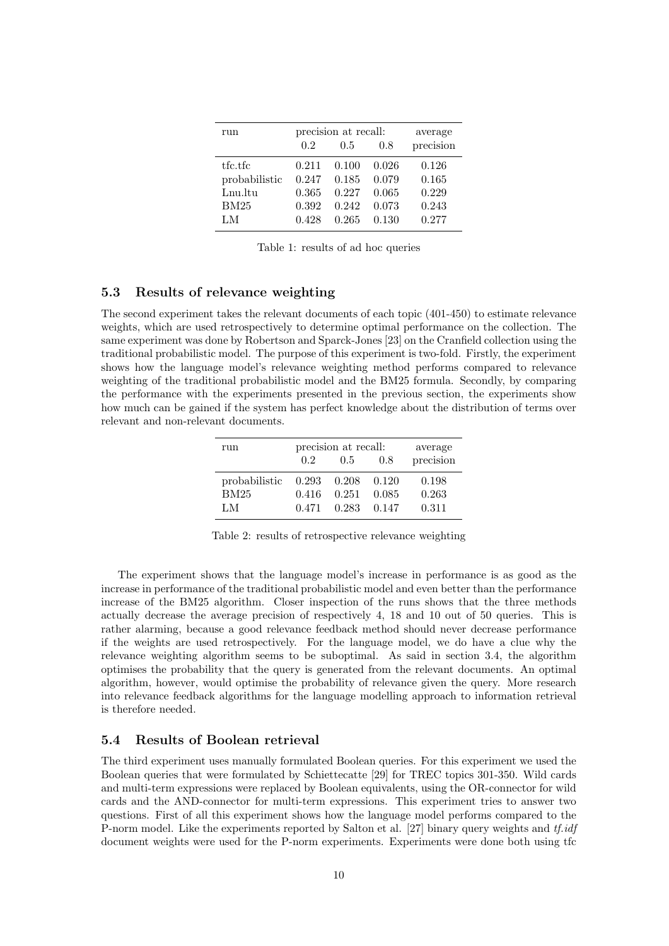| run           | 0.2   | precision at recall:<br>0.5 | 0.8   | average<br>precision |
|---------------|-------|-----------------------------|-------|----------------------|
| tfc.tfc       | 0.211 | 0.100                       | 0.026 | 0.126                |
| probabilistic | 0.247 | 0.185                       | 0.079 | 0.165                |
| Lnu.ltu       | 0.365 | 0.227                       | 0.065 | 0.229                |
| BM25          | 0.392 | 0.242                       | 0.073 | 0.243                |
| LM            | 0.428 | 0.265                       | 0.130 | 0.277                |

Table 1: results of ad hoc queries

#### 5.3 Results of relevance weighting

The second experiment takes the relevant documents of each topic (401-450) to estimate relevance weights, which are used retrospectively to determine optimal performance on the collection. The same experiment was done by Robertson and Sparck-Jones [23] on the Cranfield collection using the traditional probabilistic model. The purpose of this experiment is two-fold. Firstly, the experiment shows how the language model's relevance weighting method performs compared to relevance weighting of the traditional probabilistic model and the BM25 formula. Secondly, by comparing the performance with the experiments presented in the previous section, the experiments show how much can be gained if the system has perfect knowledge about the distribution of terms over relevant and non-relevant documents.

| run           | precision at recall: | average       |       |           |
|---------------|----------------------|---------------|-------|-----------|
|               | 0.2                  | $0.5^{\circ}$ | 0.8   | precision |
| probabilistic |                      | $0.293$ 0.208 | 0.120 | 0.198     |
| <b>BM25</b>   | 0.416                | 0.251         | 0.085 | 0.263     |
| LM            | 0.471                | 0.283         | 0.147 | 0.311     |

Table 2: results of retrospective relevance weighting

The experiment shows that the language model's increase in performance is as good as the increase in performance of the traditional probabilistic model and even better than the performance increase of the BM25 algorithm. Closer inspection of the runs shows that the three methods actually decrease the average precision of respectively 4, 18 and 10 out of 50 queries. This is rather alarming, because a good relevance feedback method should never decrease performance if the weights are used retrospectively. For the language model, we do have a clue why the relevance weighting algorithm seems to be suboptimal. As said in section 3.4, the algorithm optimises the probability that the query is generated from the relevant documents. An optimal algorithm, however, would optimise the probability of relevance given the query. More research into relevance feedback algorithms for the language modelling approach to information retrieval is therefore needed.

#### 5.4 Results of Boolean retrieval

The third experiment uses manually formulated Boolean queries. For this experiment we used the Boolean queries that were formulated by Schiettecatte [29] for TREC topics 301-350. Wild cards and multi-term expressions were replaced by Boolean equivalents, using the OR-connector for wild cards and the AND-connector for multi-term expressions. This experiment tries to answer two questions. First of all this experiment shows how the language model performs compared to the P-norm model. Like the experiments reported by Salton et al. [27] binary query weights and tf.idf document weights were used for the P-norm experiments. Experiments were done both using tfc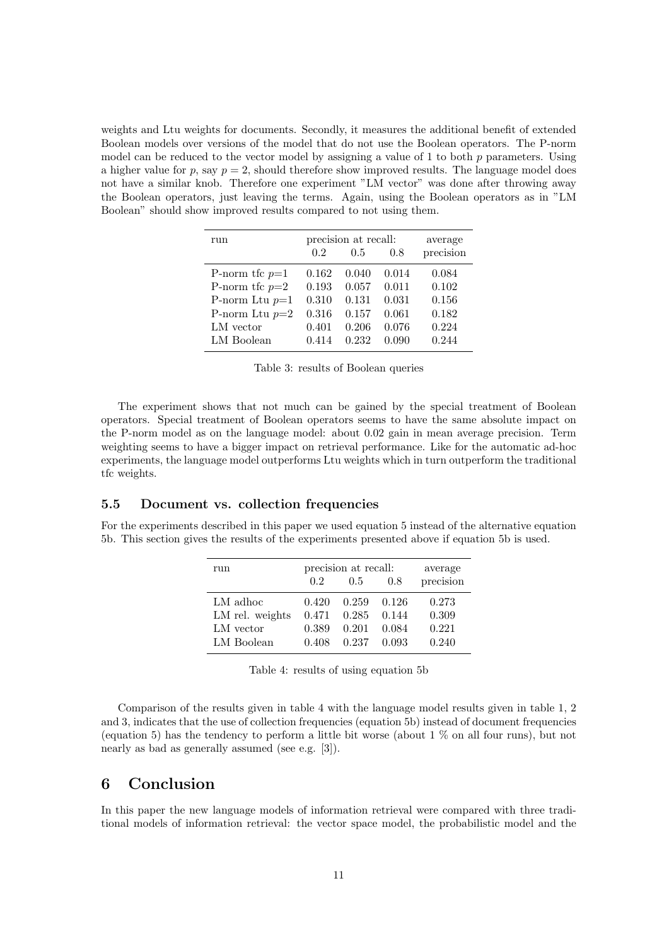weights and Ltu weights for documents. Secondly, it measures the additional benefit of extended Boolean models over versions of the model that do not use the Boolean operators. The P-norm model can be reduced to the vector model by assigning a value of 1 to both  $p$  parameters. Using a higher value for p, say  $p = 2$ , should therefore show improved results. The language model does not have a similar knob. Therefore one experiment "LM vector" was done after throwing away the Boolean operators, just leaving the terms. Again, using the Boolean operators as in "LM Boolean" should show improved results compared to not using them.

| run              | precision at recall: | average |       |           |
|------------------|----------------------|---------|-------|-----------|
|                  | 0.2                  | 0.5     | 0.8   | precision |
| P-norm tfc $p=1$ | 0.162                | 0.040   | 0.014 | 0.084     |
| P-norm tfc $p=2$ | 0.193                | 0.057   | 0.011 | 0.102     |
| P-norm Ltu $p=1$ | 0.310                | 0.131   | 0.031 | 0.156     |
| P-norm Ltu $p=2$ | 0.316                | 0.157   | 0.061 | 0.182     |
| LM vector        | 0.401                | 0.206   | 0.076 | 0.224     |
| LM Boolean       | 0.414                | 0.232   | 0.090 | 0.244     |

Table 3: results of Boolean queries

The experiment shows that not much can be gained by the special treatment of Boolean operators. Special treatment of Boolean operators seems to have the same absolute impact on the P-norm model as on the language model: about 0.02 gain in mean average precision. Term weighting seems to have a bigger impact on retrieval performance. Like for the automatic ad-hoc experiments, the language model outperforms Ltu weights which in turn outperform the traditional tfc weights.

#### 5.5 Document vs. collection frequencies

For the experiments described in this paper we used equation 5 instead of the alternative equation 5b. This section gives the results of the experiments presented above if equation 5b is used.

| run             | precision at recall: | average         |       |           |
|-----------------|----------------------|-----------------|-------|-----------|
|                 | 0.2                  | 0.5             | 0.8   | precision |
| LM adhoc        | 0.420                | $0.259$ $0.126$ |       | 0.273     |
| LM rel. weights | 0.471                | 0.285           | 0.144 | 0.309     |
| LM vector       | 0.389                | 0.201           | 0.084 | 0.221     |
| LM Boolean      | 0.408                | 0.237           | 0.093 | 0.240     |

| Table 4: results of using equation 5b |  |  |  |  |  |  |
|---------------------------------------|--|--|--|--|--|--|
|---------------------------------------|--|--|--|--|--|--|

Comparison of the results given in table 4 with the language model results given in table 1, 2 and 3, indicates that the use of collection frequencies (equation 5b) instead of document frequencies (equation 5) has the tendency to perform a little bit worse (about 1 % on all four runs), but not nearly as bad as generally assumed (see e.g. [3]).

# 6 Conclusion

In this paper the new language models of information retrieval were compared with three traditional models of information retrieval: the vector space model, the probabilistic model and the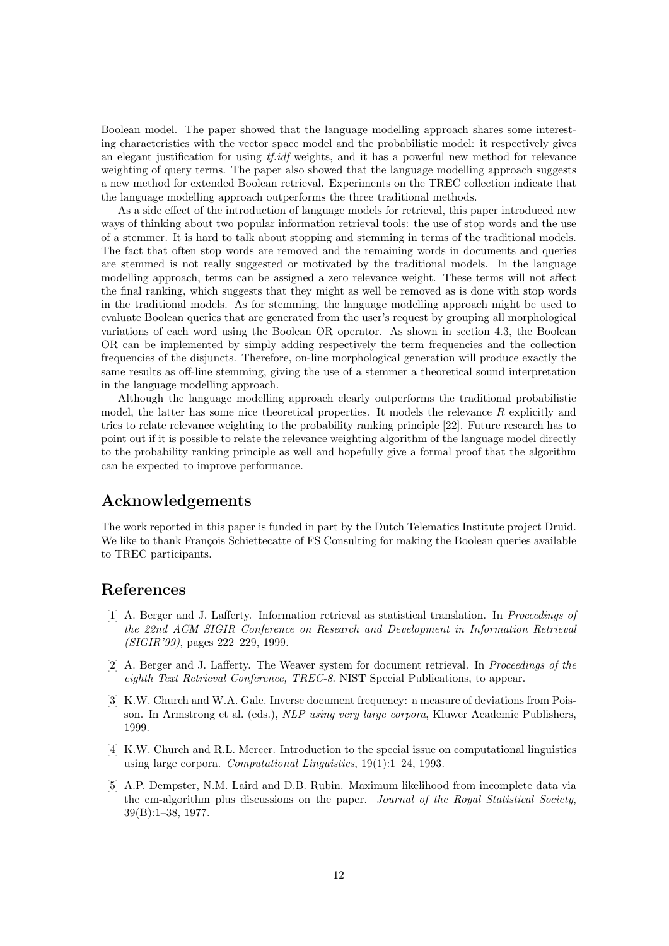Boolean model. The paper showed that the language modelling approach shares some interesting characteristics with the vector space model and the probabilistic model: it respectively gives an elegant justification for using  $tf.idf$  weights, and it has a powerful new method for relevance weighting of query terms. The paper also showed that the language modelling approach suggests a new method for extended Boolean retrieval. Experiments on the TREC collection indicate that the language modelling approach outperforms the three traditional methods.

As a side effect of the introduction of language models for retrieval, this paper introduced new ways of thinking about two popular information retrieval tools: the use of stop words and the use of a stemmer. It is hard to talk about stopping and stemming in terms of the traditional models. The fact that often stop words are removed and the remaining words in documents and queries are stemmed is not really suggested or motivated by the traditional models. In the language modelling approach, terms can be assigned a zero relevance weight. These terms will not affect the final ranking, which suggests that they might as well be removed as is done with stop words in the traditional models. As for stemming, the language modelling approach might be used to evaluate Boolean queries that are generated from the user's request by grouping all morphological variations of each word using the Boolean OR operator. As shown in section 4.3, the Boolean OR can be implemented by simply adding respectively the term frequencies and the collection frequencies of the disjuncts. Therefore, on-line morphological generation will produce exactly the same results as off-line stemming, giving the use of a stemmer a theoretical sound interpretation in the language modelling approach.

Although the language modelling approach clearly outperforms the traditional probabilistic model, the latter has some nice theoretical properties. It models the relevance  $R$  explicitly and tries to relate relevance weighting to the probability ranking principle [22]. Future research has to point out if it is possible to relate the relevance weighting algorithm of the language model directly to the probability ranking principle as well and hopefully give a formal proof that the algorithm can be expected to improve performance.

## Acknowledgements

The work reported in this paper is funded in part by the Dutch Telematics Institute project Druid. We like to thank François Schiettecatte of FS Consulting for making the Boolean queries available to TREC participants.

# References

- [1] A. Berger and J. Lafferty. Information retrieval as statistical translation. In Proceedings of the 22nd ACM SIGIR Conference on Research and Development in Information Retrieval (SIGIR'99), pages 222–229, 1999.
- [2] A. Berger and J. Lafferty. The Weaver system for document retrieval. In Proceedings of the eighth Text Retrieval Conference, TREC-8. NIST Special Publications, to appear.
- [3] K.W. Church and W.A. Gale. Inverse document frequency: a measure of deviations from Poisson. In Armstrong et al. (eds.), NLP using very large corpora, Kluwer Academic Publishers, 1999.
- [4] K.W. Church and R.L. Mercer. Introduction to the special issue on computational linguistics using large corpora. Computational Linguistics, 19(1):1–24, 1993.
- [5] A.P. Dempster, N.M. Laird and D.B. Rubin. Maximum likelihood from incomplete data via the em-algorithm plus discussions on the paper. Journal of the Royal Statistical Society, 39(B):1–38, 1977.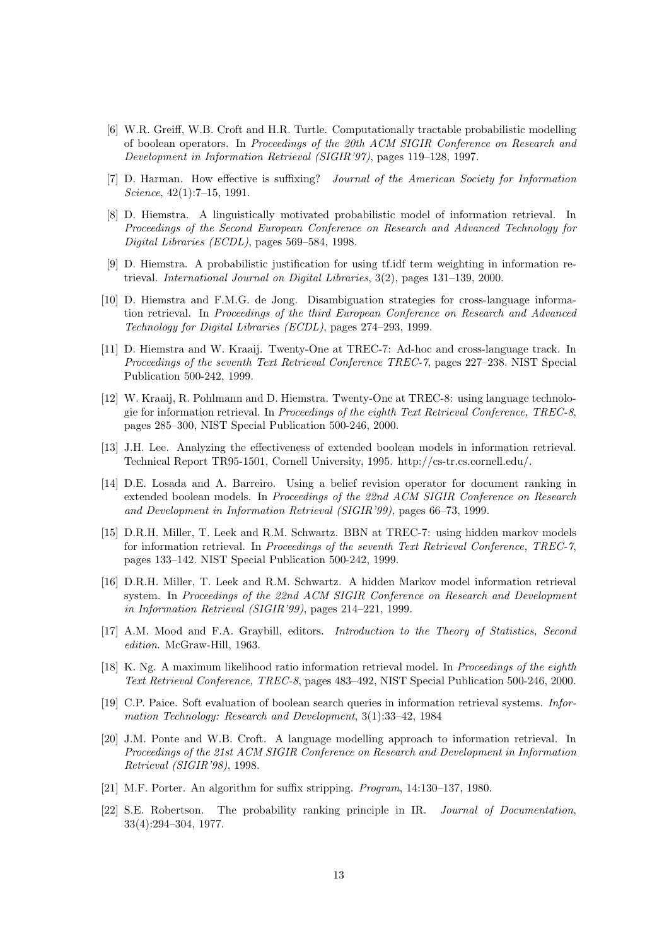- [6] W.R. Greiff, W.B. Croft and H.R. Turtle. Computationally tractable probabilistic modelling of boolean operators. In Proceedings of the 20th ACM SIGIR Conference on Research and Development in Information Retrieval (SIGIR'97), pages 119–128, 1997.
- [7] D. Harman. How effective is suffixing? Journal of the American Society for Information Science, 42(1):7–15, 1991.
- [8] D. Hiemstra. A linguistically motivated probabilistic model of information retrieval. In Proceedings of the Second European Conference on Research and Advanced Technology for Digital Libraries (ECDL), pages 569–584, 1998.
- [9] D. Hiemstra. A probabilistic justification for using tf.idf term weighting in information retrieval. International Journal on Digital Libraries, 3(2), pages 131–139, 2000.
- [10] D. Hiemstra and F.M.G. de Jong. Disambiguation strategies for cross-language information retrieval. In Proceedings of the third European Conference on Research and Advanced Technology for Digital Libraries (ECDL), pages 274–293, 1999.
- [11] D. Hiemstra and W. Kraaij. Twenty-One at TREC-7: Ad-hoc and cross-language track. In Proceedings of the seventh Text Retrieval Conference TREC-7, pages 227–238. NIST Special Publication 500-242, 1999.
- [12] W. Kraaij, R. Pohlmann and D. Hiemstra. Twenty-One at TREC-8: using language technologie for information retrieval. In Proceedings of the eighth Text Retrieval Conference, TREC-8, pages 285–300, NIST Special Publication 500-246, 2000.
- [13] J.H. Lee. Analyzing the effectiveness of extended boolean models in information retrieval. Technical Report TR95-1501, Cornell University, 1995. http://cs-tr.cs.cornell.edu/.
- [14] D.E. Losada and A. Barreiro. Using a belief revision operator for document ranking in extended boolean models. In Proceedings of the 22nd ACM SIGIR Conference on Research and Development in Information Retrieval (SIGIR'99), pages 66–73, 1999.
- [15] D.R.H. Miller, T. Leek and R.M. Schwartz. BBN at TREC-7: using hidden markov models for information retrieval. In Proceedings of the seventh Text Retrieval Conference, TREC-7, pages 133–142. NIST Special Publication 500-242, 1999.
- [16] D.R.H. Miller, T. Leek and R.M. Schwartz. A hidden Markov model information retrieval system. In Proceedings of the 22nd ACM SIGIR Conference on Research and Development in Information Retrieval (SIGIR'99), pages 214–221, 1999.
- [17] A.M. Mood and F.A. Graybill, editors. Introduction to the Theory of Statistics, Second edition. McGraw-Hill, 1963.
- [18] K. Ng. A maximum likelihood ratio information retrieval model. In Proceedings of the eighth Text Retrieval Conference, TREC-8, pages 483–492, NIST Special Publication 500-246, 2000.
- [19] C.P. Paice. Soft evaluation of boolean search queries in information retrieval systems. Information Technology: Research and Development, 3(1):33–42, 1984
- [20] J.M. Ponte and W.B. Croft. A language modelling approach to information retrieval. In Proceedings of the 21st ACM SIGIR Conference on Research and Development in Information Retrieval (SIGIR'98), 1998.
- [21] M.F. Porter. An algorithm for suffix stripping. Program, 14:130–137, 1980.
- [22] S.E. Robertson. The probability ranking principle in IR. Journal of Documentation, 33(4):294–304, 1977.